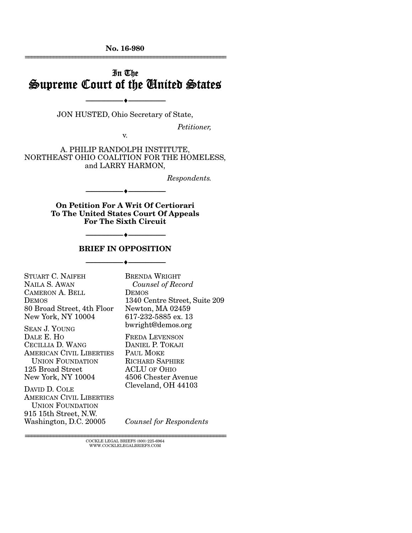No. 16-980 ================================================================

# In The Supreme Court of the United States

JON HUSTED, Ohio Secretary of State,

 $\blacktriangle$   $-$ 

*Petitioner,* 

v.

A. PHILIP RANDOLPH INSTITUTE, NORTHEAST OHIO COALITION FOR THE HOMELESS, and LARRY HARMON,

*Respondents.* 

On Petition For A Writ Of Certiorari To The United States Court Of Appeals For The Sixth Circuit

--------------------------------- ---------------------------------

#### BRIEF IN OPPOSITION

 $\bullet$   $-$ 

--------------------------------- ---------------------------------

| STUART C. NAIFEH                | BRENDA WRIGHT                 |
|---------------------------------|-------------------------------|
| NAILA S. AWAN                   | Counsel of Record             |
| <b>CAMERON A. BELL</b>          | DEMOS                         |
| <b>DEMOS</b>                    | 1340 Centre Street, Suite 209 |
| 80 Broad Street, 4th Floor      | Newton, MA 02459              |
| New York, NY 10004              | 617-232-5885 ex. 13           |
| <b>SEAN J. YOUNG</b>            | bwright@demos.org             |
| DALE E. HO                      | <b>FREDA LEVENSON</b>         |
| CECILLIA D. WANG                | DANIEL P. TOKAJI              |
| AMERICAN CIVIL LIBERTIES        | PAUL MOKE                     |
| <b>UNION FOUNDATION</b>         | <b>RICHARD SAPHIRE</b>        |
| 125 Broad Street                | <b>ACLU OF OHIO</b>           |
| New York, NY 10004              | 4506 Chester Avenue           |
| DAVID D. COLE                   | Cleveland, OH 44103           |
| <b>AMERICAN CIVIL LIBERTIES</b> |                               |
| <b>UNION FOUNDATION</b>         |                               |
| 915 15th Street, N.W.           |                               |

*Counsel for Respondents*

================================================================ COCKLE LEGAL BRIEFS (800) 225-6964 WWW.COCKLELEGALBRIEFS.COM

Washington, D.C. 20005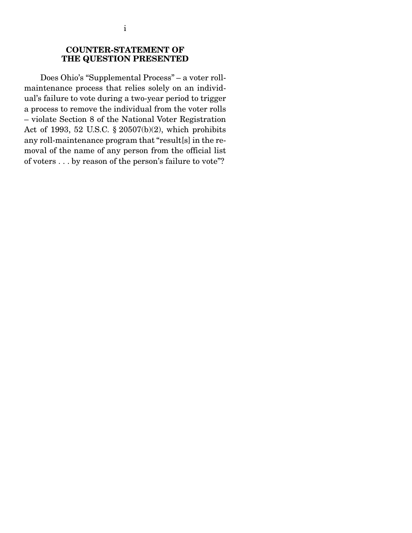## COUNTER-STATEMENT OF THE QUESTION PRESENTED

 Does Ohio's "Supplemental Process" – a voter rollmaintenance process that relies solely on an individual's failure to vote during a two-year period to trigger a process to remove the individual from the voter rolls – violate Section 8 of the National Voter Registration Act of 1993, 52 U.S.C. § 20507(b)(2), which prohibits any roll-maintenance program that "result[s] in the removal of the name of any person from the official list of voters . . . by reason of the person's failure to vote"?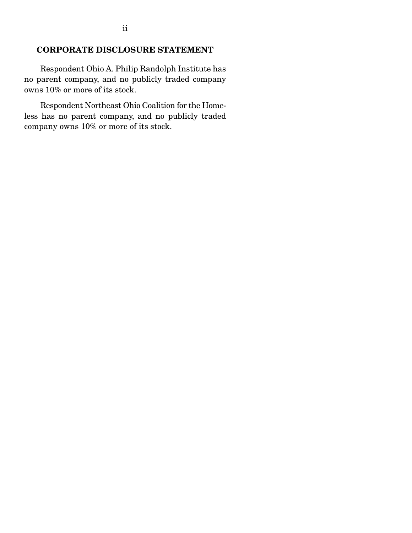## CORPORATE DISCLOSURE STATEMENT

 Respondent Ohio A. Philip Randolph Institute has no parent company, and no publicly traded company owns 10% or more of its stock.

 Respondent Northeast Ohio Coalition for the Homeless has no parent company, and no publicly traded company owns 10% or more of its stock.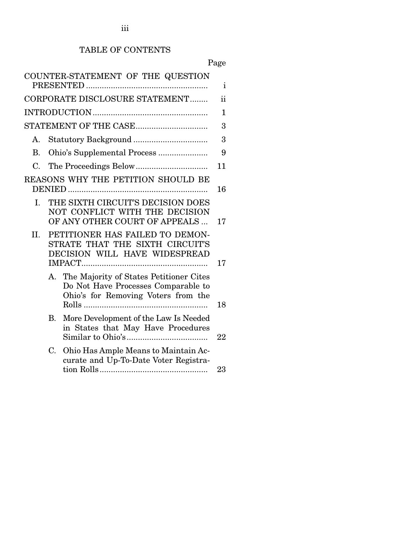# TABLE OF CONTENTS

Page

|                |           | COUNTER-STATEMENT OF THE QUESTION                                                                                        | i  |
|----------------|-----------|--------------------------------------------------------------------------------------------------------------------------|----|
|                |           | CORPORATE DISCLOSURE STATEMENT                                                                                           | ii |
|                |           |                                                                                                                          | 1  |
|                |           | STATEMENT OF THE CASE                                                                                                    | 3  |
| $\mathsf{A}$ . |           |                                                                                                                          | 3  |
| <b>B.</b>      |           | Ohio's Supplemental Process                                                                                              | 9  |
| $C_{\cdot}$    |           |                                                                                                                          | 11 |
|                |           | REASONS WHY THE PETITION SHOULD BE                                                                                       | 16 |
| I.             |           | THE SIXTH CIRCUIT'S DECISION DOES<br>NOT CONFLICT WITH THE DECISION<br>OF ANY OTHER COURT OF APPEALS                     | 17 |
| II.            |           | PETITIONER HAS FAILED TO DEMON-<br>STRATE THAT THE SIXTH CIRCUIT'S<br>DECISION WILL HAVE WIDESPREAD                      | 17 |
|                |           | A. The Majority of States Petitioner Cites<br>Do Not Have Processes Comparable to<br>Ohio's for Removing Voters from the | 18 |
|                | <b>B.</b> | More Development of the Law Is Needed<br>in States that May Have Procedures                                              | 22 |
|                | C.        | Ohio Has Ample Means to Maintain Ac-<br>curate and Up-To-Date Voter Registra-                                            | 23 |
|                |           |                                                                                                                          |    |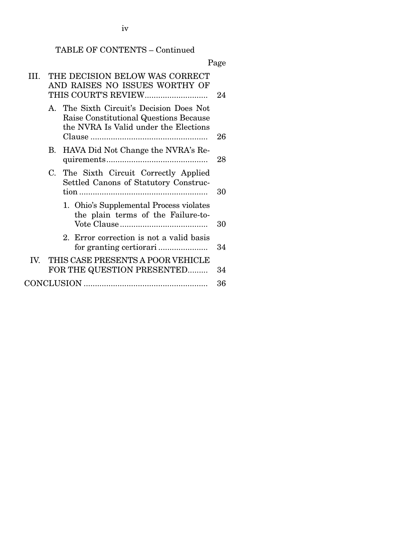iv

# TABLE OF CONTENTS – Continued

|     |             |                                                                                                                             | Page |
|-----|-------------|-----------------------------------------------------------------------------------------------------------------------------|------|
| Ш   |             | THE DECISION BELOW WAS CORRECT<br>AND RAISES NO ISSUES WORTHY OF                                                            | 24   |
|     |             | A. The Sixth Circuit's Decision Does Not<br>Raise Constitutional Questions Because<br>the NVRA Is Valid under the Elections | 26   |
|     | $B_{\cdot}$ | HAVA Did Not Change the NVRA's Re-                                                                                          | 28   |
|     | $C_{\cdot}$ | The Sixth Circuit Correctly Applied<br>Settled Canons of Statutory Construc-                                                | 30   |
|     |             | 1. Ohio's Supplemental Process violates<br>the plain terms of the Failure-to-                                               | 30   |
|     |             | 2. Error correction is not a valid basis                                                                                    | 34   |
| IV. |             | THIS CASE PRESENTS A POOR VEHICLE<br>FOR THE QUESTION PRESENTED                                                             | 34   |
|     |             |                                                                                                                             | 36   |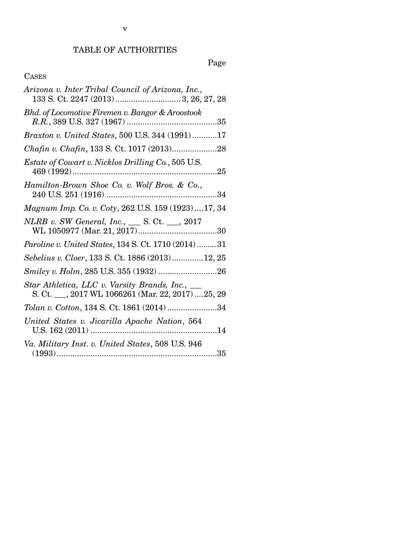# Page

## CASES

| Arizona v. Inter Tribal Council of Arizona, Inc.,                                                      |
|--------------------------------------------------------------------------------------------------------|
| Bhd. of Locomotive Firemen v. Bangor & Aroostook                                                       |
| Braxton v. United States, 500 U.S. 344 (1991) 17                                                       |
| Chafin v. Chafin, 133 S. Ct. 1017 (2013)28                                                             |
| <i>Estate of Cowart v. Nicklos Drilling Co., 505 U.S.</i>                                              |
| Hamilton-Brown Shoe Co. v. Wolf Bros. & Co.,<br>34                                                     |
| Magnum Imp. Co. v. Coty, 262 U.S. 159 (1923)17, 34                                                     |
| NLRB v. SW General, Inc., ___ S. Ct. __, 2017                                                          |
| Paroline v. United States, 134 S. Ct. 1710 (2014)  31                                                  |
| Sebelius v. Cloer, 133 S. Ct. 1886 (2013)12, 25                                                        |
|                                                                                                        |
| Star Athletica, LLC v. Varsity Brands, Inc., ___<br>S. Ct. __, 2017 WL 1066261 (Mar. 22, 2017)  25, 29 |
| Tolan v. Cotton, 134 S. Ct. 1861 (2014) 34                                                             |
| United States v. Jicarilla Apache Nation, 564                                                          |
| Va. Military Inst. v. United States, 508 U.S. 946                                                      |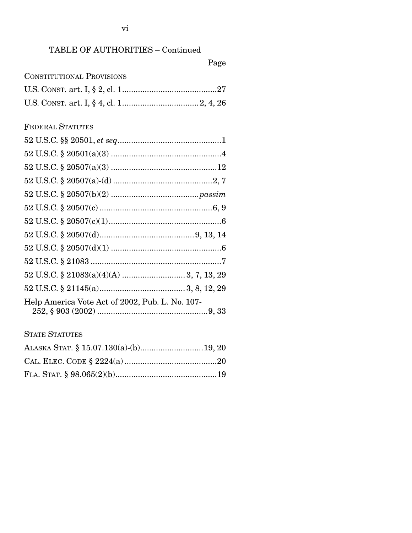# TABLE OF AUTHORITIES – Continued

# Page

| <b>CONSTITUTIONAL PROVISIONS</b> |  |
|----------------------------------|--|
|                                  |  |
|                                  |  |

## FEDERAL STATUTES

| Help America Vote Act of 2002, Pub. L. No. 107- |  |
|-------------------------------------------------|--|

## STATE STATUTES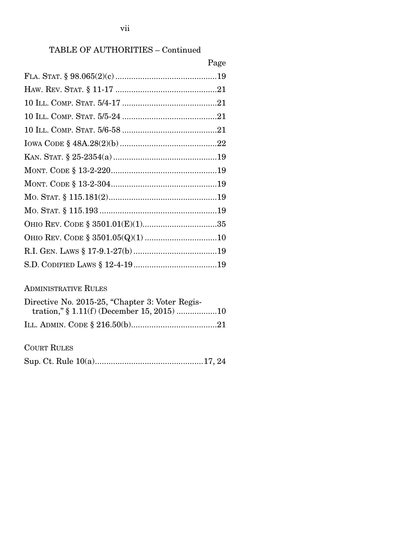## vii

# TABLE OF AUTHORITIES – Continued

| Page |
|------|
|      |
|      |
|      |
|      |
|      |
|      |
|      |
|      |
|      |
|      |
|      |
|      |
|      |
|      |
|      |

## ADMINISTRATIVE RULES

| Directive No. 2015-25, "Chapter 3: Voter Regis- |  |
|-------------------------------------------------|--|
|                                                 |  |
|                                                 |  |

COURT RULES

|--|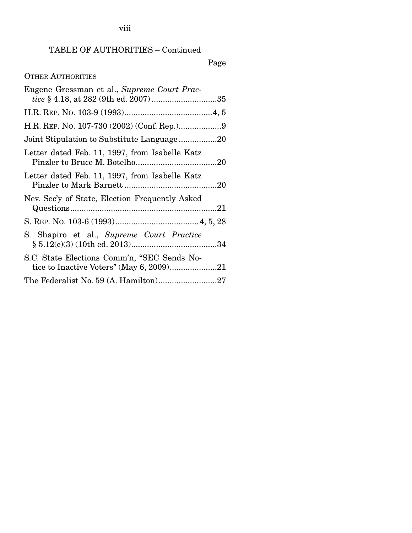# TABLE OF AUTHORITIES – Continued

# Page

# OTHER AUTHORITIES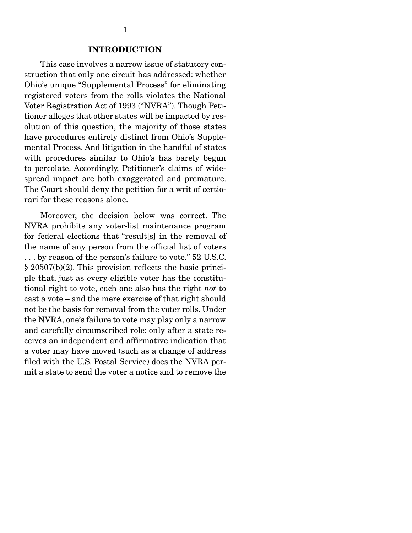#### INTRODUCTION

 This case involves a narrow issue of statutory construction that only one circuit has addressed: whether Ohio's unique "Supplemental Process" for eliminating registered voters from the rolls violates the National Voter Registration Act of 1993 ("NVRA"). Though Petitioner alleges that other states will be impacted by resolution of this question, the majority of those states have procedures entirely distinct from Ohio's Supplemental Process. And litigation in the handful of states with procedures similar to Ohio's has barely begun to percolate. Accordingly, Petitioner's claims of widespread impact are both exaggerated and premature. The Court should deny the petition for a writ of certiorari for these reasons alone.

 Moreover, the decision below was correct. The NVRA prohibits any voter-list maintenance program for federal elections that "result[s] in the removal of the name of any person from the official list of voters . . . by reason of the person's failure to vote." 52 U.S.C. § 20507(b)(2). This provision reflects the basic principle that, just as every eligible voter has the constitutional right to vote, each one also has the right *not* to cast a vote – and the mere exercise of that right should not be the basis for removal from the voter rolls. Under the NVRA, one's failure to vote may play only a narrow and carefully circumscribed role: only after a state receives an independent and affirmative indication that a voter may have moved (such as a change of address filed with the U.S. Postal Service) does the NVRA permit a state to send the voter a notice and to remove the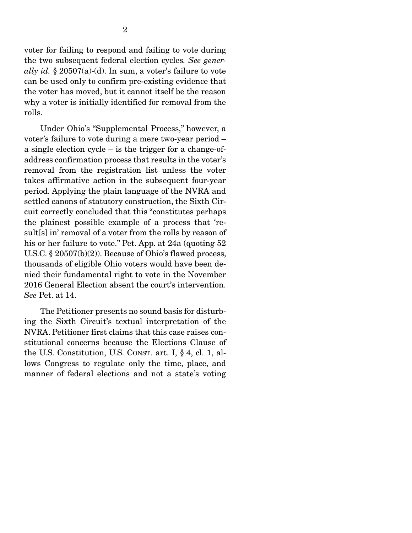voter for failing to respond and failing to vote during the two subsequent federal election cycles*. See generally id.* § 20507(a)-(d). In sum, a voter's failure to vote can be used only to confirm pre-existing evidence that the voter has moved, but it cannot itself be the reason why a voter is initially identified for removal from the rolls.

 Under Ohio's "Supplemental Process," however, a voter's failure to vote during a mere two-year period – a single election cycle – is the trigger for a change-ofaddress confirmation process that results in the voter's removal from the registration list unless the voter takes affirmative action in the subsequent four-year period. Applying the plain language of the NVRA and settled canons of statutory construction, the Sixth Circuit correctly concluded that this "constitutes perhaps the plainest possible example of a process that 'result[s] in' removal of a voter from the rolls by reason of his or her failure to vote." Pet. App. at 24a (quoting 52 U.S.C. § 20507(b)(2)). Because of Ohio's flawed process, thousands of eligible Ohio voters would have been denied their fundamental right to vote in the November 2016 General Election absent the court's intervention. *See* Pet. at 14.

 The Petitioner presents no sound basis for disturbing the Sixth Circuit's textual interpretation of the NVRA. Petitioner first claims that this case raises constitutional concerns because the Elections Clause of the U.S. Constitution, U.S. CONST. art. I, § 4, cl. 1, allows Congress to regulate only the time, place, and manner of federal elections and not a state's voting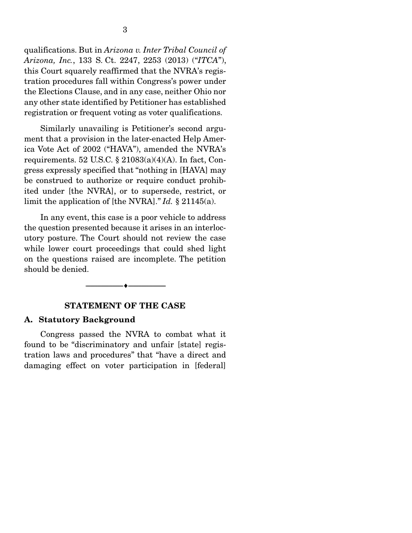qualifications. But in *Arizona v. Inter Tribal Council of Arizona, Inc.*, 133 S. Ct. 2247, 2253 (2013) ("*ITCA*"), this Court squarely reaffirmed that the NVRA's registration procedures fall within Congress's power under the Elections Clause, and in any case, neither Ohio nor any other state identified by Petitioner has established registration or frequent voting as voter qualifications.

 Similarly unavailing is Petitioner's second argument that a provision in the later-enacted Help America Vote Act of 2002 ("HAVA"), amended the NVRA's requirements. 52 U.S.C.  $\S 21083(a)(4)(A)$ . In fact, Congress expressly specified that "nothing in [HAVA] may be construed to authorize or require conduct prohibited under [the NVRA], or to supersede, restrict, or limit the application of [the NVRA]." *Id.* § 21145(a).

 In any event, this case is a poor vehicle to address the question presented because it arises in an interlocutory posture. The Court should not review the case while lower court proceedings that could shed light on the questions raised are incomplete. The petition should be denied.

### STATEMENT OF THE CASE

--------------------------------- ---------------------------------

#### A. Statutory Background

 Congress passed the NVRA to combat what it found to be "discriminatory and unfair [state] registration laws and procedures" that "have a direct and damaging effect on voter participation in [federal]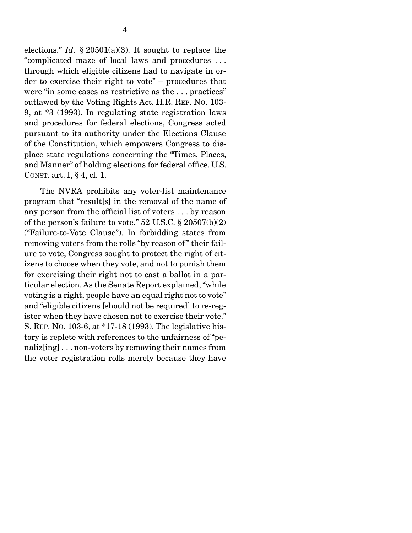elections." *Id.* § 20501(a)(3). It sought to replace the "complicated maze of local laws and procedures . . . through which eligible citizens had to navigate in order to exercise their right to vote" – procedures that were "in some cases as restrictive as the . . . practices" outlawed by the Voting Rights Act. H.R. REP. NO. 103- 9, at \*3 (1993). In regulating state registration laws and procedures for federal elections, Congress acted pursuant to its authority under the Elections Clause of the Constitution, which empowers Congress to displace state regulations concerning the "Times, Places, and Manner" of holding elections for federal office. U.S. CONST. art. I, § 4, cl. 1.

 The NVRA prohibits any voter-list maintenance program that "result[s] in the removal of the name of any person from the official list of voters . . . by reason of the person's failure to vote." 52 U.S.C. § 20507(b)(2) ("Failure-to-Vote Clause"). In forbidding states from removing voters from the rolls "by reason of" their failure to vote, Congress sought to protect the right of citizens to choose when they vote, and not to punish them for exercising their right not to cast a ballot in a particular election. As the Senate Report explained, "while voting is a right, people have an equal right not to vote" and "eligible citizens [should not be required] to re-register when they have chosen not to exercise their vote." S. REP. NO. 103-6, at \*17-18 (1993). The legislative history is replete with references to the unfairness of "penaliz[ing] . . . non-voters by removing their names from the voter registration rolls merely because they have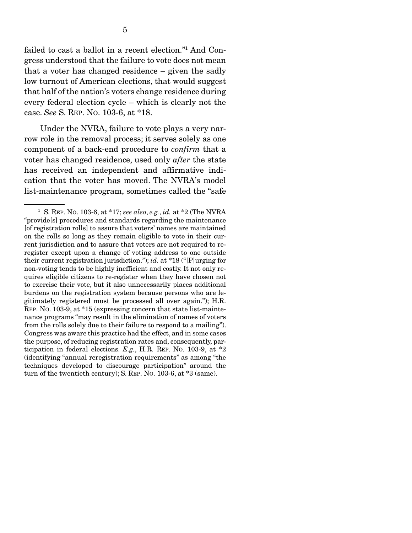failed to cast a ballot in a recent election."1 And Congress understood that the failure to vote does not mean that a voter has changed residence – given the sadly low turnout of American elections, that would suggest that half of the nation's voters change residence during every federal election cycle – which is clearly not the case. *See* S. REP. NO. 103-6, at \*18.

 Under the NVRA, failure to vote plays a very narrow role in the removal process; it serves solely as one component of a back-end procedure to *confirm* that a voter has changed residence, used only *after* the state has received an independent and affirmative indication that the voter has moved. The NVRA's model list-maintenance program, sometimes called the "safe

<sup>1</sup> S. REP. NO. 103-6, at \*17; *see also*, *e.g.*, *id.* at \*2 (The NVRA "provide[s] procedures and standards regarding the maintenance [of registration rolls] to assure that voters' names are maintained on the rolls so long as they remain eligible to vote in their current jurisdiction and to assure that voters are not required to reregister except upon a change of voting address to one outside their current registration jurisdiction."); *id.* at \*18 ("[P]urging for non-voting tends to be highly inefficient and costly. It not only requires eligible citizens to re-register when they have chosen not to exercise their vote, but it also unnecessarily places additional burdens on the registration system because persons who are legitimately registered must be processed all over again."); H.R. REP. NO. 103-9, at \*15 (expressing concern that state list-maintenance programs "may result in the elimination of names of voters from the rolls solely due to their failure to respond to a mailing"). Congress was aware this practice had the effect, and in some cases the purpose, of reducing registration rates and, consequently, participation in federal elections. *E.g.*, H.R. REP. NO. 103-9, at \*2 (identifying "annual reregistration requirements" as among "the techniques developed to discourage participation" around the turn of the twentieth century); S. REP. NO. 103-6, at \*3 (same).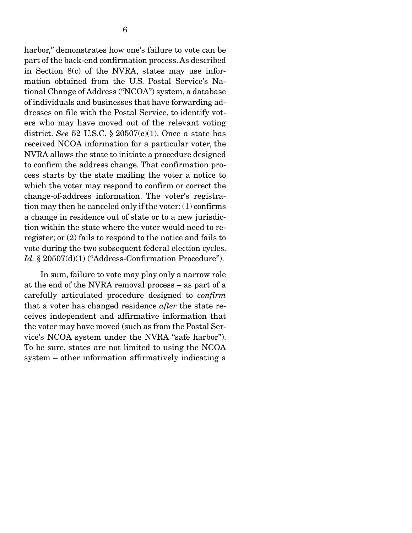harbor," demonstrates how one's failure to vote can be part of the back-end confirmation process. As described in Section 8(c) of the NVRA, states may use information obtained from the U.S. Postal Service's National Change of Address ("NCOA") system, a database of individuals and businesses that have forwarding addresses on file with the Postal Service, to identify voters who may have moved out of the relevant voting district. *See* 52 U.S.C. § 20507(c)(1). Once a state has received NCOA information for a particular voter, the NVRA allows the state to initiate a procedure designed to confirm the address change. That confirmation process starts by the state mailing the voter a notice to which the voter may respond to confirm or correct the change-of-address information. The voter's registration may then be canceled only if the voter: (1) confirms a change in residence out of state or to a new jurisdiction within the state where the voter would need to reregister; or (2) fails to respond to the notice and fails to vote during the two subsequent federal election cycles. *Id.* § 20507(d)(1) ("Address-Confirmation Procedure").

 In sum, failure to vote may play only a narrow role at the end of the NVRA removal process – as part of a carefully articulated procedure designed to *confirm*  that a voter has changed residence *after* the state receives independent and affirmative information that the voter may have moved (such as from the Postal Service's NCOA system under the NVRA "safe harbor"). To be sure, states are not limited to using the NCOA system – other information affirmatively indicating a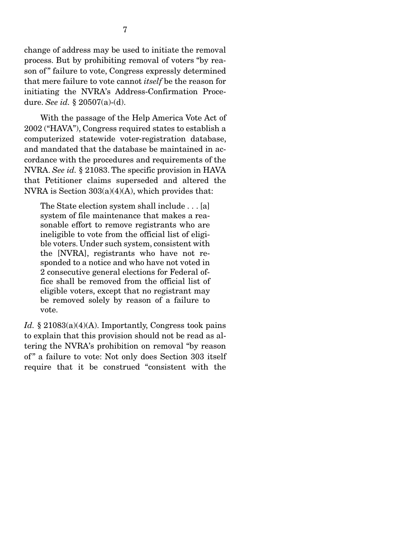change of address may be used to initiate the removal process. But by prohibiting removal of voters "by reason of" failure to vote, Congress expressly determined that mere failure to vote cannot *itself* be the reason for initiating the NVRA's Address-Confirmation Procedure. *See id.* § 20507(a)-(d).

 With the passage of the Help America Vote Act of 2002 ("HAVA"), Congress required states to establish a computerized statewide voter-registration database, and mandated that the database be maintained in accordance with the procedures and requirements of the NVRA. *See id.* § 21083. The specific provision in HAVA that Petitioner claims superseded and altered the NVRA is Section  $303(a)(4)(A)$ , which provides that:

The State election system shall include . . . [a] system of file maintenance that makes a reasonable effort to remove registrants who are ineligible to vote from the official list of eligible voters. Under such system, consistent with the [NVRA], registrants who have not responded to a notice and who have not voted in 2 consecutive general elections for Federal office shall be removed from the official list of eligible voters, except that no registrant may be removed solely by reason of a failure to vote.

*Id.* § 21083(a)(4)(A). Importantly, Congress took pains to explain that this provision should not be read as altering the NVRA's prohibition on removal "by reason of" a failure to vote: Not only does Section 303 itself require that it be construed "consistent with the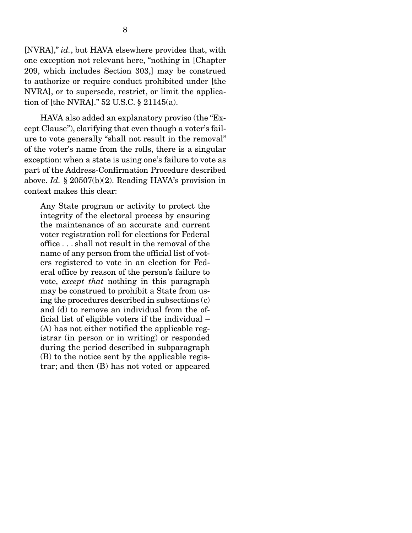[NVRA]," *id.*, but HAVA elsewhere provides that, with one exception not relevant here, "nothing in [Chapter 209, which includes Section 303,] may be construed to authorize or require conduct prohibited under [the NVRA], or to supersede, restrict, or limit the application of [the NVRA]." 52 U.S.C. § 21145(a).

 HAVA also added an explanatory proviso (the "Except Clause"), clarifying that even though a voter's failure to vote generally "shall not result in the removal" of the voter's name from the rolls, there is a singular exception: when a state is using one's failure to vote as part of the Address-Confirmation Procedure described above. *Id.* § 20507(b)(2). Reading HAVA's provision in context makes this clear:

Any State program or activity to protect the integrity of the electoral process by ensuring the maintenance of an accurate and current voter registration roll for elections for Federal office . . . shall not result in the removal of the name of any person from the official list of voters registered to vote in an election for Federal office by reason of the person's failure to vote, *except that* nothing in this paragraph may be construed to prohibit a State from using the procedures described in subsections (c) and (d) to remove an individual from the official list of eligible voters if the individual – (A) has not either notified the applicable registrar (in person or in writing) or responded during the period described in subparagraph (B) to the notice sent by the applicable registrar; and then (B) has not voted or appeared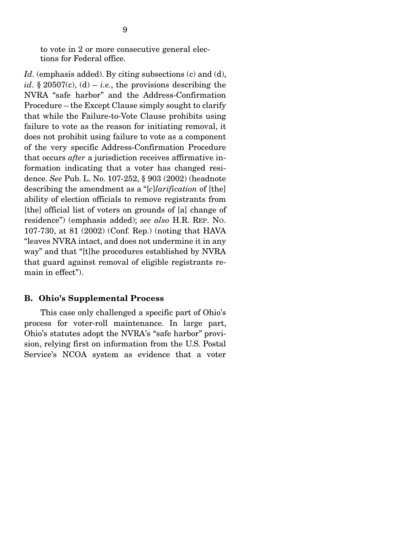to vote in 2 or more consecutive general elections for Federal office.

Id. (emphasis added). By citing subsections (c) and (d), *id*. § 20507(c), (d) – *i.e.*, the provisions describing the NVRA "safe harbor" and the Address-Confirmation Procedure – the Except Clause simply sought to clarify that while the Failure-to-Vote Clause prohibits using failure to vote as the reason for initiating removal, it does not prohibit using failure to vote as a component of the very specific Address-Confirmation Procedure that occurs *after* a jurisdiction receives affirmative information indicating that a voter has changed residence. *See* Pub. L. No. 107-252, § 903 (2002) (headnote describing the amendment as a "[*c*]*larification* of [the] ability of election officials to remove registrants from [the] official list of voters on grounds of [a] change of residence") (emphasis added); *see also* H.R. REP. NO. 107-730, at 81 (2002) (Conf. Rep.) (noting that HAVA "leaves NVRA intact, and does not undermine it in any way" and that "[t]he procedures established by NVRA that guard against removal of eligible registrants remain in effect").

#### B. Ohio's Supplemental Process

 This case only challenged a specific part of Ohio's process for voter-roll maintenance. In large part, Ohio's statutes adopt the NVRA's "safe harbor" provision, relying first on information from the U.S. Postal Service's NCOA system as evidence that a voter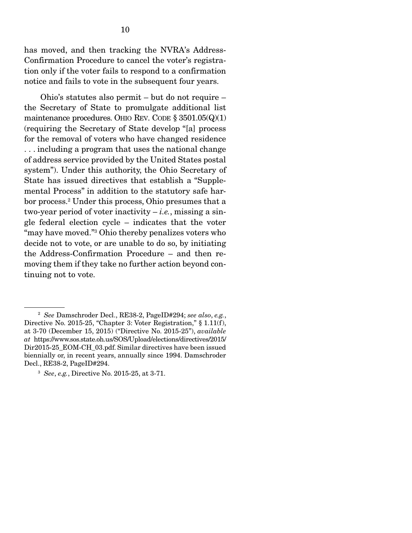has moved, and then tracking the NVRA's Address-Confirmation Procedure to cancel the voter's registration only if the voter fails to respond to a confirmation notice and fails to vote in the subsequent four years.

 Ohio's statutes also permit – but do not require – the Secretary of State to promulgate additional list maintenance procedures. OHIO REV. CODE  $\S 3501.05(Q)(1)$ (requiring the Secretary of State develop "[a] process for the removal of voters who have changed residence . . . including a program that uses the national change of address service provided by the United States postal system"). Under this authority, the Ohio Secretary of State has issued directives that establish a "Supplemental Process" in addition to the statutory safe harbor process.2 Under this process, Ohio presumes that a two-year period of voter inactivity  $-i.e.,$  missing a single federal election cycle – indicates that the voter "may have moved."3 Ohio thereby penalizes voters who decide not to vote, or are unable to do so, by initiating the Address-Confirmation Procedure – and then removing them if they take no further action beyond continuing not to vote.

<sup>2</sup> *See* Damschroder Decl., RE38-2, PageID#294; *see also*, *e.g.*, Directive No. 2015-25, "Chapter 3: Voter Registration," § 1.11(f), at 3-70 (December 15, 2015) ("Directive No. 2015-25"), *available at* https://www.sos.state.oh.us/SOS/Upload/elections/directives/2015/ Dir2015-25\_EOM-CH\_03.pdf. Similar directives have been issued biennially or, in recent years, annually since 1994. Damschroder Decl., RE38-2, PageID#294.

<sup>3</sup> *See*, *e.g.*, Directive No. 2015-25, at 3-71.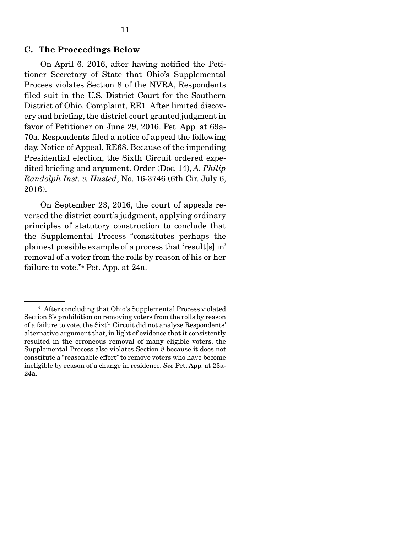#### C. The Proceedings Below

 On April 6, 2016, after having notified the Petitioner Secretary of State that Ohio's Supplemental Process violates Section 8 of the NVRA, Respondents filed suit in the U.S. District Court for the Southern District of Ohio. Complaint, RE1. After limited discovery and briefing, the district court granted judgment in favor of Petitioner on June 29, 2016. Pet. App. at 69a-70a. Respondents filed a notice of appeal the following day. Notice of Appeal, RE68. Because of the impending Presidential election, the Sixth Circuit ordered expedited briefing and argument. Order (Doc. 14), *A. Philip Randolph Inst. v. Husted*, No. 16-3746 (6th Cir. July 6, 2016).

 On September 23, 2016, the court of appeals reversed the district court's judgment, applying ordinary principles of statutory construction to conclude that the Supplemental Process "constitutes perhaps the plainest possible example of a process that 'result[s] in' removal of a voter from the rolls by reason of his or her failure to vote."4 Pet. App. at 24a.

<sup>4</sup> After concluding that Ohio's Supplemental Process violated Section 8's prohibition on removing voters from the rolls by reason of a failure to vote, the Sixth Circuit did not analyze Respondents' alternative argument that, in light of evidence that it consistently resulted in the erroneous removal of many eligible voters, the Supplemental Process also violates Section 8 because it does not constitute a "reasonable effort" to remove voters who have become ineligible by reason of a change in residence. *See* Pet. App. at 23a-24a.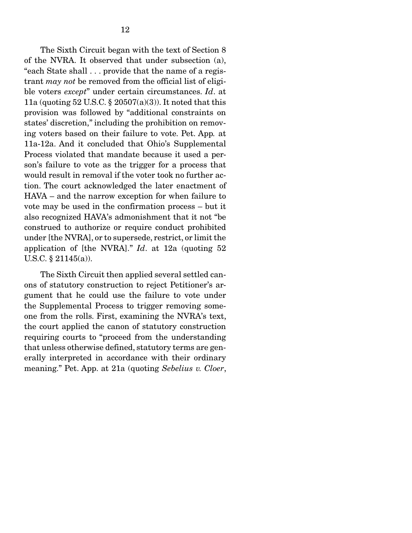The Sixth Circuit began with the text of Section 8 of the NVRA. It observed that under subsection (a), "each State shall . . . provide that the name of a registrant *may not* be removed from the official list of eligible voters *except*" under certain circumstances. *Id*. at 11a (quoting 52 U.S.C.  $\S$  20507(a)(3)). It noted that this provision was followed by "additional constraints on states' discretion," including the prohibition on removing voters based on their failure to vote. Pet. App*.* at 11a-12a. And it concluded that Ohio's Supplemental Process violated that mandate because it used a person's failure to vote as the trigger for a process that would result in removal if the voter took no further action. The court acknowledged the later enactment of HAVA – and the narrow exception for when failure to vote may be used in the confirmation process – but it also recognized HAVA's admonishment that it not "be construed to authorize or require conduct prohibited under [the NVRA], or to supersede, restrict, or limit the application of [the NVRA]." *Id*. at 12a (quoting 52 U.S.C. § 21145(a)).

The Sixth Circuit then applied several settled canons of statutory construction to reject Petitioner's argument that he could use the failure to vote under the Supplemental Process to trigger removing someone from the rolls. First, examining the NVRA's text, the court applied the canon of statutory construction requiring courts to "proceed from the understanding that unless otherwise defined, statutory terms are generally interpreted in accordance with their ordinary meaning." Pet. App. at 21a (quoting *Sebelius v. Cloer*,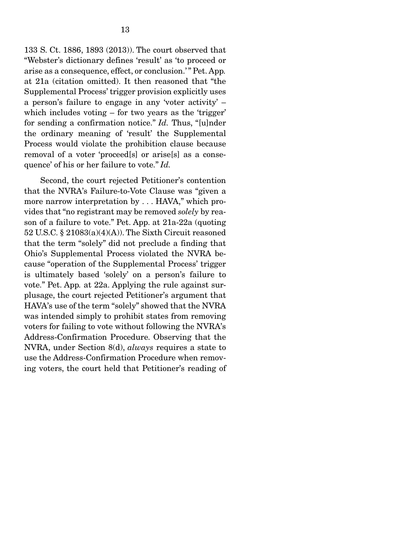133 S. Ct. 1886, 1893 (2013)). The court observed that "Webster's dictionary defines 'result' as 'to proceed or arise as a consequence, effect, or conclusion.' " Pet. App*.* at 21a (citation omitted). It then reasoned that "the Supplemental Process' trigger provision explicitly uses a person's failure to engage in any 'voter activity' – which includes voting – for two years as the 'trigger' for sending a confirmation notice." *Id.* Thus, "[u]nder the ordinary meaning of 'result' the Supplemental Process would violate the prohibition clause because removal of a voter 'proceed[s] or arise[s] as a consequence' of his or her failure to vote." *Id.* 

Second, the court rejected Petitioner's contention that the NVRA's Failure-to-Vote Clause was "given a more narrow interpretation by . . . HAVA," which provides that "no registrant may be removed *solely* by reason of a failure to vote." Pet. App. at 21a-22a (quoting 52 U.S.C. § 21083(a)(4)(A)). The Sixth Circuit reasoned that the term "solely" did not preclude a finding that Ohio's Supplemental Process violated the NVRA because "operation of the Supplemental Process' trigger is ultimately based 'solely' on a person's failure to vote." Pet. App*.* at 22a. Applying the rule against surplusage, the court rejected Petitioner's argument that HAVA's use of the term "solely" showed that the NVRA was intended simply to prohibit states from removing voters for failing to vote without following the NVRA's Address-Confirmation Procedure. Observing that the NVRA, under Section 8(d), *always* requires a state to use the Address-Confirmation Procedure when removing voters, the court held that Petitioner's reading of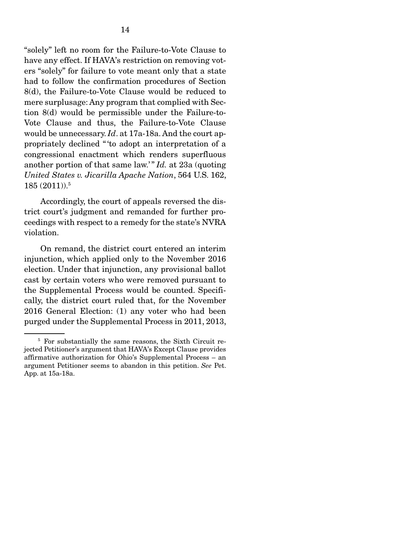"solely" left no room for the Failure-to-Vote Clause to have any effect. If HAVA's restriction on removing voters "solely" for failure to vote meant only that a state had to follow the confirmation procedures of Section 8(d), the Failure-to-Vote Clause would be reduced to mere surplusage: Any program that complied with Section 8(d) would be permissible under the Failure-to-Vote Clause and thus, the Failure-to-Vote Clause would be unnecessary. *Id*. at 17a-18a. And the court appropriately declined " 'to adopt an interpretation of a congressional enactment which renders superfluous another portion of that same law.' " *Id.* at 23a (quoting *United States v. Jicarilla Apache Nation*, 564 U.S. 162,  $185\ (2011))$ . $^5$ 

 Accordingly, the court of appeals reversed the district court's judgment and remanded for further proceedings with respect to a remedy for the state's NVRA violation.

 On remand, the district court entered an interim injunction, which applied only to the November 2016 election. Under that injunction, any provisional ballot cast by certain voters who were removed pursuant to the Supplemental Process would be counted. Specifically, the district court ruled that, for the November 2016 General Election: (1) any voter who had been purged under the Supplemental Process in 2011, 2013,

<sup>&</sup>lt;sup>5</sup> For substantially the same reasons, the Sixth Circuit rejected Petitioner's argument that HAVA's Except Clause provides affirmative authorization for Ohio's Supplemental Process – an argument Petitioner seems to abandon in this petition. *See* Pet. App. at 15a-18a.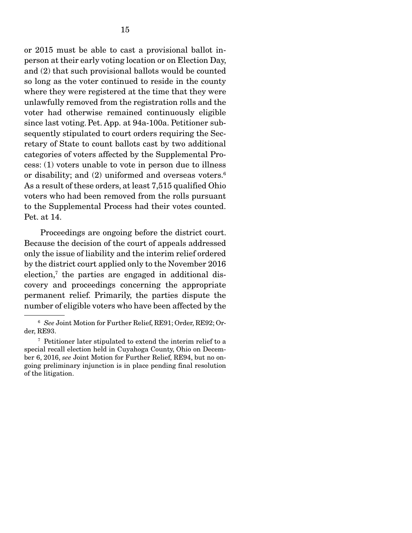or 2015 must be able to cast a provisional ballot inperson at their early voting location or on Election Day, and (2) that such provisional ballots would be counted so long as the voter continued to reside in the county where they were registered at the time that they were unlawfully removed from the registration rolls and the voter had otherwise remained continuously eligible since last voting.Pet. App. at 94a-100a. Petitioner subsequently stipulated to court orders requiring the Secretary of State to count ballots cast by two additional categories of voters affected by the Supplemental Process: (1) voters unable to vote in person due to illness or disability; and (2) uniformed and overseas voters.<sup>6</sup> As a result of these orders, at least 7,515 qualified Ohio voters who had been removed from the rolls pursuant to the Supplemental Process had their votes counted. Pet. at 14.

 Proceedings are ongoing before the district court. Because the decision of the court of appeals addressed only the issue of liability and the interim relief ordered by the district court applied only to the November 2016 election,7 the parties are engaged in additional discovery and proceedings concerning the appropriate permanent relief. Primarily, the parties dispute the number of eligible voters who have been affected by the

<sup>6</sup> *See* Joint Motion for Further Relief, RE91; Order, RE92; Order, RE93.

<sup>7</sup> Petitioner later stipulated to extend the interim relief to a special recall election held in Cuyahoga County, Ohio on December 6, 2016, *see* Joint Motion for Further Relief, RE94, but no ongoing preliminary injunction is in place pending final resolution of the litigation.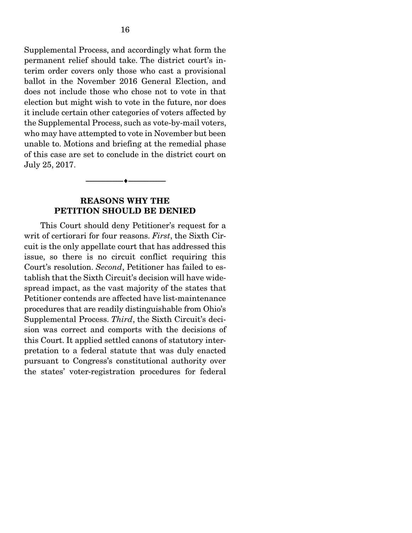Supplemental Process, and accordingly what form the permanent relief should take. The district court's interim order covers only those who cast a provisional ballot in the November 2016 General Election, and does not include those who chose not to vote in that election but might wish to vote in the future, nor does it include certain other categories of voters affected by the Supplemental Process, such as vote-by-mail voters, who may have attempted to vote in November but been unable to. Motions and briefing at the remedial phase of this case are set to conclude in the district court on July 25, 2017.

## REASONS WHY THE PETITION SHOULD BE DENIED

--------------------------------- ---------------------------------

 This Court should deny Petitioner's request for a writ of certiorari for four reasons. *First*, the Sixth Circuit is the only appellate court that has addressed this issue, so there is no circuit conflict requiring this Court's resolution. *Second*, Petitioner has failed to establish that the Sixth Circuit's decision will have widespread impact, as the vast majority of the states that Petitioner contends are affected have list-maintenance procedures that are readily distinguishable from Ohio's Supplemental Process. *Third*, the Sixth Circuit's decision was correct and comports with the decisions of this Court. It applied settled canons of statutory interpretation to a federal statute that was duly enacted pursuant to Congress's constitutional authority over the states' voter-registration procedures for federal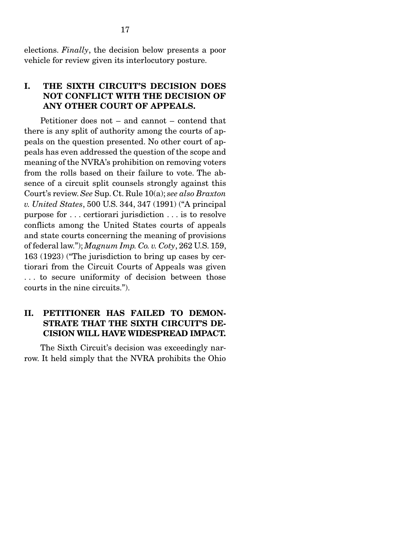elections. *Finally*, the decision below presents a poor vehicle for review given its interlocutory posture.

## I. THE SIXTH CIRCUIT'S DECISION DOES NOT CONFLICT WITH THE DECISION OF ANY OTHER COURT OF APPEALS.

 Petitioner does not – and cannot – contend that there is any split of authority among the courts of appeals on the question presented. No other court of appeals has even addressed the question of the scope and meaning of the NVRA's prohibition on removing voters from the rolls based on their failure to vote. The absence of a circuit split counsels strongly against this Court's review. *See* Sup. Ct. Rule 10(a); *see also Braxton v. United States*, 500 U.S. 344, 347 (1991) ("A principal purpose for . . . certiorari jurisdiction . . . is to resolve conflicts among the United States courts of appeals and state courts concerning the meaning of provisions of federal law."); *Magnum Imp. Co. v. Coty*, 262 U.S. 159, 163 (1923) ("The jurisdiction to bring up cases by certiorari from the Circuit Courts of Appeals was given . . . to secure uniformity of decision between those courts in the nine circuits.").

## II. PETITIONER HAS FAILED TO DEMON-STRATE THAT THE SIXTH CIRCUIT'S DE-CISION WILL HAVE WIDESPREAD IMPACT.

 The Sixth Circuit's decision was exceedingly narrow. It held simply that the NVRA prohibits the Ohio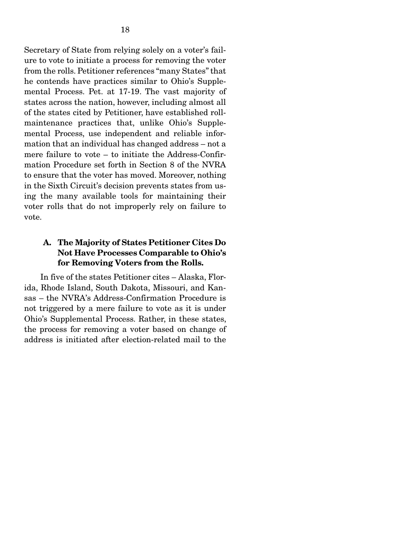Secretary of State from relying solely on a voter's failure to vote to initiate a process for removing the voter from the rolls. Petitioner references "many States" that he contends have practices similar to Ohio's Supplemental Process. Pet. at 17-19. The vast majority of states across the nation, however, including almost all of the states cited by Petitioner, have established rollmaintenance practices that, unlike Ohio's Supplemental Process, use independent and reliable information that an individual has changed address – not a mere failure to vote – to initiate the Address-Confirmation Procedure set forth in Section 8 of the NVRA to ensure that the voter has moved. Moreover, nothing in the Sixth Circuit's decision prevents states from using the many available tools for maintaining their voter rolls that do not improperly rely on failure to vote.

## A. The Majority of States Petitioner Cites Do Not Have Processes Comparable to Ohio's for Removing Voters from the Rolls.

 In five of the states Petitioner cites – Alaska, Florida, Rhode Island, South Dakota, Missouri, and Kansas – the NVRA's Address-Confirmation Procedure is not triggered by a mere failure to vote as it is under Ohio's Supplemental Process. Rather, in these states, the process for removing a voter based on change of address is initiated after election-related mail to the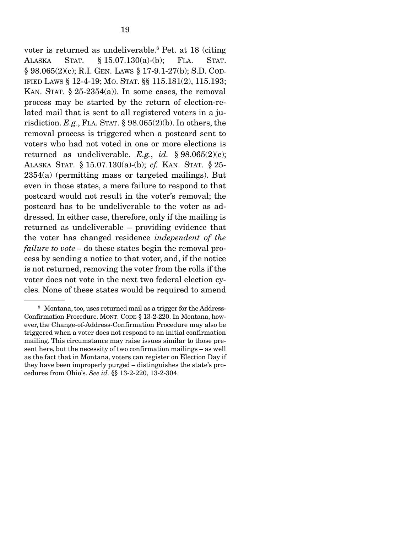voter is returned as undeliverable.8 Pet. at 18 (citing ALASKA STAT. § 15.07.130(a)-(b); FLA. STAT. § 98.065(2)(c); R.I. GEN. LAWS § 17-9.1-27(b); S.D. COD-IFIED LAWS § 12-4-19; MO. STAT. §§ 115.181(2), 115.193; KAN. STAT.  $\S 25-2354(a)$ ). In some cases, the removal process may be started by the return of election-related mail that is sent to all registered voters in a jurisdiction. *E.g.*, FLA. STAT. § 98.065(2)(b). In others, the removal process is triggered when a postcard sent to voters who had not voted in one or more elections is returned as undeliverable. *E.g.*, *id.* § 98.065(2)(c); ALASKA STAT. § 15.07.130(a)-(b); *cf.* KAN. STAT. § 25- 2354(a) (permitting mass or targeted mailings). But even in those states, a mere failure to respond to that postcard would not result in the voter's removal; the postcard has to be undeliverable to the voter as addressed. In either case, therefore, only if the mailing is returned as undeliverable – providing evidence that the voter has changed residence *independent of the failure to vote –* do these states begin the removal process by sending a notice to that voter, and, if the notice is not returned, removing the voter from the rolls if the voter does not vote in the next two federal election cycles. None of these states would be required to amend

<sup>8</sup> Montana, too, uses returned mail as a trigger for the Address-Confirmation Procedure. MONT. CODE § 13-2-220. In Montana, however, the Change-of-Address-Confirmation Procedure may also be triggered when a voter does not respond to an initial confirmation mailing. This circumstance may raise issues similar to those present here, but the necessity of two confirmation mailings – as well as the fact that in Montana, voters can register on Election Day if they have been improperly purged – distinguishes the state's procedures from Ohio's. *See id.* §§ 13-2-220, 13-2-304.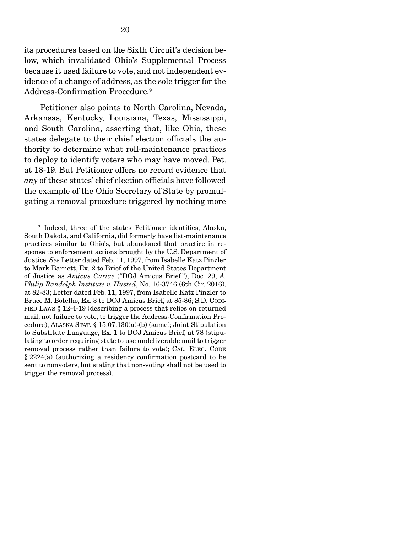its procedures based on the Sixth Circuit's decision below, which invalidated Ohio's Supplemental Process because it used failure to vote, and not independent evidence of a change of address, as the sole trigger for the Address-Confirmation Procedure.<sup>9</sup>

 Petitioner also points to North Carolina, Nevada, Arkansas, Kentucky, Louisiana, Texas, Mississippi, and South Carolina, asserting that, like Ohio, these states delegate to their chief election officials the authority to determine what roll-maintenance practices to deploy to identify voters who may have moved. Pet. at 18-19. But Petitioner offers no record evidence that *any* of these states' chief election officials have followed the example of the Ohio Secretary of State by promulgating a removal procedure triggered by nothing more

<sup>9</sup> Indeed, three of the states Petitioner identifies, Alaska, South Dakota, and California, did formerly have list-maintenance practices similar to Ohio's, but abandoned that practice in response to enforcement actions brought by the U.S. Department of Justice. *See* Letter dated Feb. 11, 1997, from Isabelle Katz Pinzler to Mark Barnett, Ex. 2 to Brief of the United States Department of Justice as *Amicus Curiae* ("DOJ Amicus Brief "), Doc. 29, *A. Philip Randolph Institute v. Husted*, No. 16-3746 (6th Cir. 2016), at 82-83; Letter dated Feb. 11, 1997, from Isabelle Katz Pinzler to Bruce M. Botelho, Ex. 3 to DOJ Amicus Brief, at 85-86; S.D. CODI-FIED LAWS § 12-4-19 (describing a process that relies on returned mail, not failure to vote, to trigger the Address-Confirmation Procedure); ALASKA STAT. § 15.07.130(a)-(b) (same); Joint Stipulation to Substitute Language, Ex. 1 to DOJ Amicus Brief, at 78 (stipulating to order requiring state to use undeliverable mail to trigger removal process rather than failure to vote); CAL. ELEC. CODE § 2224(a) (authorizing a residency confirmation postcard to be sent to nonvoters, but stating that non-voting shall not be used to trigger the removal process).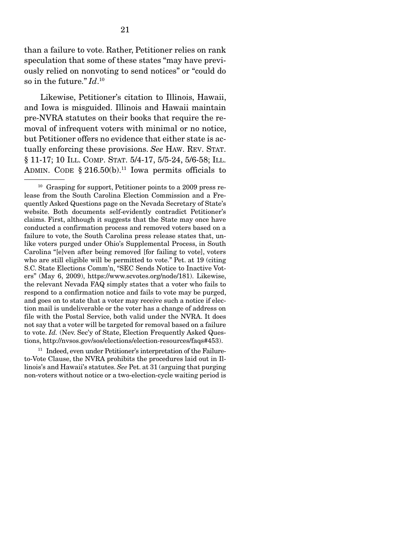than a failure to vote. Rather, Petitioner relies on rank speculation that some of these states "may have previously relied on nonvoting to send notices" or "could do  $\,$  so in the future."  $Id.^{10}$ 

 Likewise, Petitioner's citation to Illinois, Hawaii, and Iowa is misguided. Illinois and Hawaii maintain pre-NVRA statutes on their books that require the removal of infrequent voters with minimal or no notice, but Petitioner offers no evidence that either state is actually enforcing these provisions. *See* HAW. REV. STAT. § 11-17; 10 ILL. COMP. STAT. 5/4-17, 5/5-24, 5/6-58; ILL. ADMIN. CODE  $§ 216.50(b).$ <sup>11</sup> Iowa permits officials to

<sup>11</sup> Indeed, even under Petitioner's interpretation of the Failureto-Vote Clause, the NVRA prohibits the procedures laid out in Illinois's and Hawaii's statutes. *See* Pet. at 31 (arguing that purging non-voters without notice or a two-election-cycle waiting period is

 $10$  Grasping for support, Petitioner points to a 2009 press release from the South Carolina Election Commission and a Frequently Asked Questions page on the Nevada Secretary of State's website. Both documents self-evidently contradict Petitioner's claims. First, although it suggests that the State may once have conducted a confirmation process and removed voters based on a failure to vote, the South Carolina press release states that, unlike voters purged under Ohio's Supplemental Process, in South Carolina "[e]ven after being removed [for failing to vote], voters who are still eligible will be permitted to vote." Pet. at 19 (citing S.C. State Elections Comm'n, "SEC Sends Notice to Inactive Voters" (May 6, 2009), https://www.scvotes.org/node/181). Likewise, the relevant Nevada FAQ simply states that a voter who fails to respond to a confirmation notice and fails to vote may be purged, and goes on to state that a voter may receive such a notice if election mail is undeliverable or the voter has a change of address on file with the Postal Service, both valid under the NVRA. It does not say that a voter will be targeted for removal based on a failure to vote. *Id.* (Nev. Sec'y of State, Election Frequently Asked Questions, http://nvsos.gov/sos/elections/election-resources/faqs#453).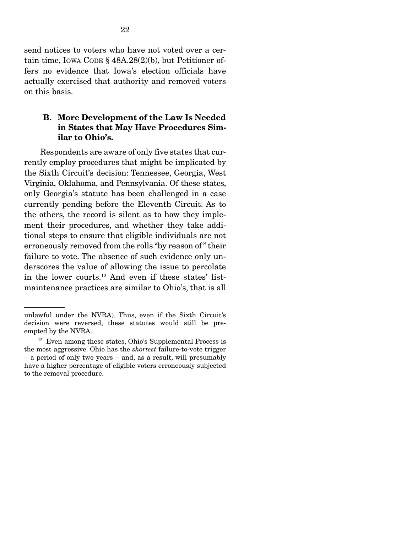send notices to voters who have not voted over a certain time, IOWA CODE § 48A.28(2)(b), but Petitioner offers no evidence that Iowa's election officials have actually exercised that authority and removed voters on this basis.

## B. More Development of the Law Is Needed in States that May Have Procedures Similar to Ohio's.

 Respondents are aware of only five states that currently employ procedures that might be implicated by the Sixth Circuit's decision: Tennessee, Georgia, West Virginia, Oklahoma, and Pennsylvania. Of these states, only Georgia's statute has been challenged in a case currently pending before the Eleventh Circuit. As to the others, the record is silent as to how they implement their procedures, and whether they take additional steps to ensure that eligible individuals are not erroneously removed from the rolls "by reason of " their failure to vote. The absence of such evidence only underscores the value of allowing the issue to percolate in the lower courts.12 And even if these states' listmaintenance practices are similar to Ohio's, that is all

unlawful under the NVRA). Thus, even if the Sixth Circuit's decision were reversed, these statutes would still be preempted by the NVRA.

 $12$  Even among these states, Ohio's Supplemental Process is the most aggressive. Ohio has the *shortest* failure-to-vote trigger – a period of only two years – and, as a result, will presumably have a higher percentage of eligible voters erroneously subjected to the removal procedure.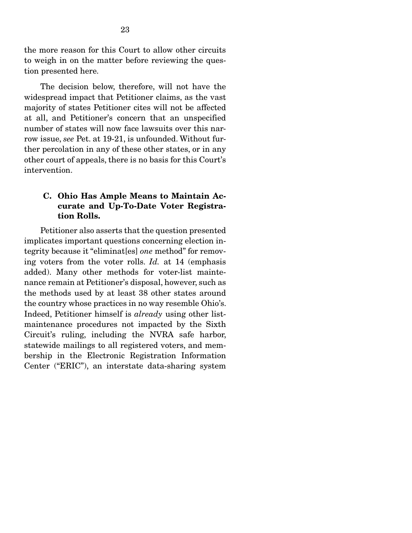the more reason for this Court to allow other circuits to weigh in on the matter before reviewing the question presented here.

 The decision below, therefore, will not have the widespread impact that Petitioner claims, as the vast majority of states Petitioner cites will not be affected at all, and Petitioner's concern that an unspecified number of states will now face lawsuits over this narrow issue, *see* Pet. at 19-21, is unfounded. Without further percolation in any of these other states, or in any other court of appeals, there is no basis for this Court's intervention.

## C. Ohio Has Ample Means to Maintain Accurate and Up-To-Date Voter Registration Rolls.

 Petitioner also asserts that the question presented implicates important questions concerning election integrity because it "eliminat[es] *one* method" for removing voters from the voter rolls. *Id.* at 14 (emphasis added). Many other methods for voter-list maintenance remain at Petitioner's disposal, however, such as the methods used by at least 38 other states around the country whose practices in no way resemble Ohio's. Indeed, Petitioner himself is *already* using other listmaintenance procedures not impacted by the Sixth Circuit's ruling, including the NVRA safe harbor, statewide mailings to all registered voters, and membership in the Electronic Registration Information Center ("ERIC"), an interstate data-sharing system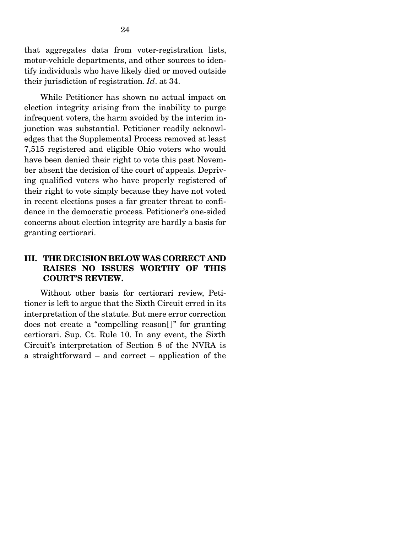that aggregates data from voter-registration lists, motor-vehicle departments, and other sources to identify individuals who have likely died or moved outside their jurisdiction of registration. *Id*. at 34.

 While Petitioner has shown no actual impact on election integrity arising from the inability to purge infrequent voters, the harm avoided by the interim injunction was substantial. Petitioner readily acknowledges that the Supplemental Process removed at least 7,515 registered and eligible Ohio voters who would have been denied their right to vote this past November absent the decision of the court of appeals. Depriving qualified voters who have properly registered of their right to vote simply because they have not voted in recent elections poses a far greater threat to confidence in the democratic process. Petitioner's one-sided concerns about election integrity are hardly a basis for granting certiorari.

## III. THE DECISION BELOW WAS CORRECT AND RAISES NO ISSUES WORTHY OF THIS COURT'S REVIEW.

 Without other basis for certiorari review, Petitioner is left to argue that the Sixth Circuit erred in its interpretation of the statute. But mere error correction does not create a "compelling reason[ ]" for granting certiorari. Sup. Ct. Rule 10. In any event, the Sixth Circuit's interpretation of Section 8 of the NVRA is a straightforward – and correct – application of the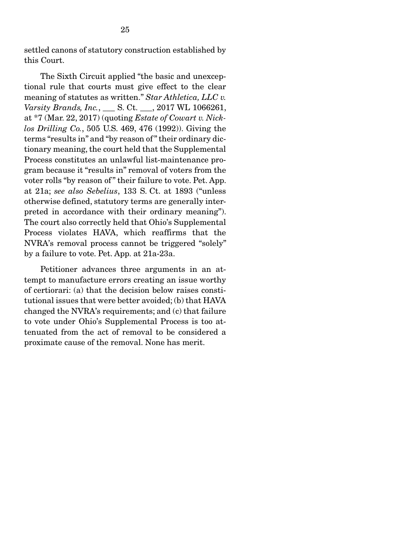settled canons of statutory construction established by this Court.

 The Sixth Circuit applied "the basic and unexceptional rule that courts must give effect to the clear meaning of statutes as written." *Star Athletica, LLC v. Varsity Brands, Inc.*, \_\_\_ S. Ct. \_\_\_, 2017 WL 1066261, at \*7 (Mar. 22, 2017) (quoting *Estate of Cowart v. Nicklos Drilling Co.*, 505 U.S. 469, 476 (1992)). Giving the terms "results in" and "by reason of " their ordinary dictionary meaning, the court held that the Supplemental Process constitutes an unlawful list-maintenance program because it "results in" removal of voters from the voter rolls "by reason of" their failure to vote. Pet. App. at 21a; *see also Sebelius*, 133 S. Ct. at 1893 ("unless otherwise defined, statutory terms are generally interpreted in accordance with their ordinary meaning"). The court also correctly held that Ohio's Supplemental Process violates HAVA, which reaffirms that the NVRA's removal process cannot be triggered "solely" by a failure to vote. Pet. App. at 21a-23a.

 Petitioner advances three arguments in an attempt to manufacture errors creating an issue worthy of certiorari: (a) that the decision below raises constitutional issues that were better avoided; (b) that HAVA changed the NVRA's requirements; and (c) that failure to vote under Ohio's Supplemental Process is too attenuated from the act of removal to be considered a proximate cause of the removal. None has merit.

25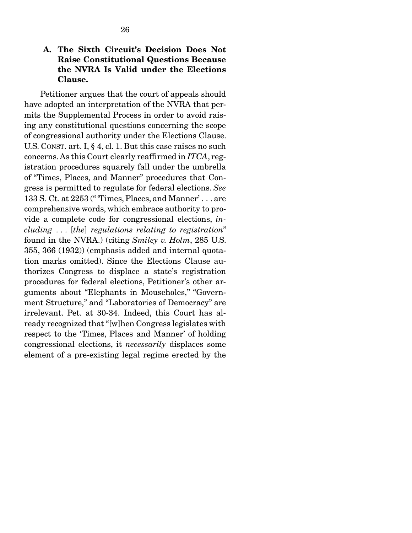## A. The Sixth Circuit's Decision Does Not Raise Constitutional Questions Because the NVRA Is Valid under the Elections Clause.

 Petitioner argues that the court of appeals should have adopted an interpretation of the NVRA that permits the Supplemental Process in order to avoid raising any constitutional questions concerning the scope of congressional authority under the Elections Clause. U.S. CONST. art. I, § 4, cl. 1. But this case raises no such concerns. As this Court clearly reaffirmed in *ITCA*, registration procedures squarely fall under the umbrella of "Times, Places, and Manner" procedures that Congress is permitted to regulate for federal elections. *See*  133 S. Ct. at 2253 (" 'Times, Places, and Manner' . . . are comprehensive words, which embrace authority to provide a complete code for congressional elections, *including* . . . [*the*] *regulations relating to registration*" found in the NVRA.) (citing *Smiley v. Holm*, 285 U.S. 355, 366 (1932)) (emphasis added and internal quotation marks omitted). Since the Elections Clause authorizes Congress to displace a state's registration procedures for federal elections, Petitioner's other arguments about "Elephants in Mouseholes," "Government Structure," and "Laboratories of Democracy" are irrelevant. Pet. at 30-34. Indeed, this Court has already recognized that "[w]hen Congress legislates with respect to the 'Times, Places and Manner' of holding congressional elections, it *necessarily* displaces some element of a pre-existing legal regime erected by the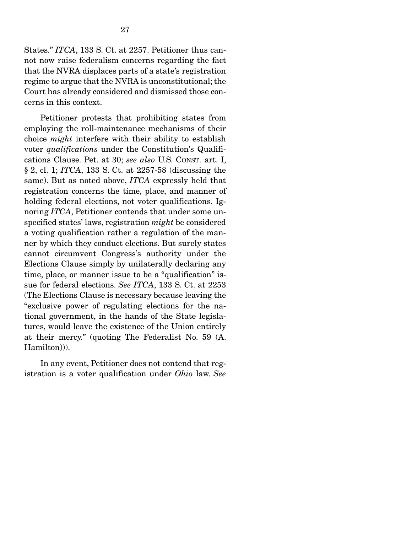States." *ITCA*, 133 S. Ct. at 2257. Petitioner thus cannot now raise federalism concerns regarding the fact that the NVRA displaces parts of a state's registration regime to argue that the NVRA is unconstitutional; the Court has already considered and dismissed those concerns in this context.

 Petitioner protests that prohibiting states from employing the roll-maintenance mechanisms of their choice *might* interfere with their ability to establish voter *qualifications* under the Constitution's Qualifications Clause. Pet. at 30; *see also* U.S. CONST. art. I, § 2, cl. 1; *ITCA*, 133 S. Ct. at 2257-58 (discussing the same). But as noted above, *ITCA* expressly held that registration concerns the time, place, and manner of holding federal elections, not voter qualifications. Ignoring *ITCA*, Petitioner contends that under some unspecified states' laws, registration *might* be considered a voting qualification rather a regulation of the manner by which they conduct elections. But surely states cannot circumvent Congress's authority under the Elections Clause simply by unilaterally declaring any time, place, or manner issue to be a "qualification" issue for federal elections. *See ITCA*, 133 S. Ct. at 2253 (The Elections Clause is necessary because leaving the "exclusive power of regulating elections for the national government, in the hands of the State legislatures, would leave the existence of the Union entirely at their mercy." (quoting The Federalist No. 59 (A. Hamilton))).

 In any event, Petitioner does not contend that registration is a voter qualification under *Ohio* law. *See*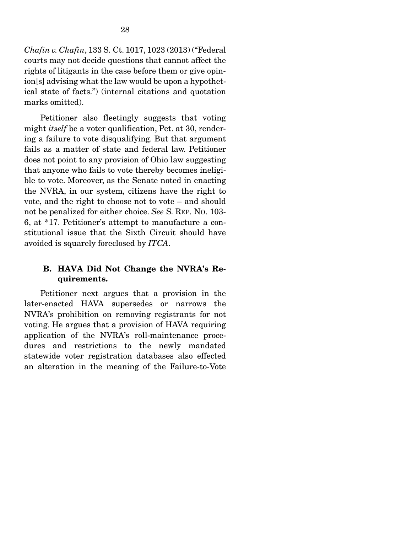*Chafin v. Chafin*, 133 S. Ct. 1017, 1023 (2013) ("Federal courts may not decide questions that cannot affect the rights of litigants in the case before them or give opinion[s] advising what the law would be upon a hypothetical state of facts.") (internal citations and quotation marks omitted).

 Petitioner also fleetingly suggests that voting might *itself* be a voter qualification, Pet. at 30, rendering a failure to vote disqualifying. But that argument fails as a matter of state and federal law. Petitioner does not point to any provision of Ohio law suggesting that anyone who fails to vote thereby becomes ineligible to vote. Moreover, as the Senate noted in enacting the NVRA, in our system, citizens have the right to vote, and the right to choose not to vote – and should not be penalized for either choice. *See* S. REP. NO. 103- 6, at \*17. Petitioner's attempt to manufacture a constitutional issue that the Sixth Circuit should have avoided is squarely foreclosed by *ITCA*.

## B. HAVA Did Not Change the NVRA's Requirements.

 Petitioner next argues that a provision in the later-enacted HAVA supersedes or narrows the NVRA's prohibition on removing registrants for not voting. He argues that a provision of HAVA requiring application of the NVRA's roll-maintenance procedures and restrictions to the newly mandated statewide voter registration databases also effected an alteration in the meaning of the Failure-to-Vote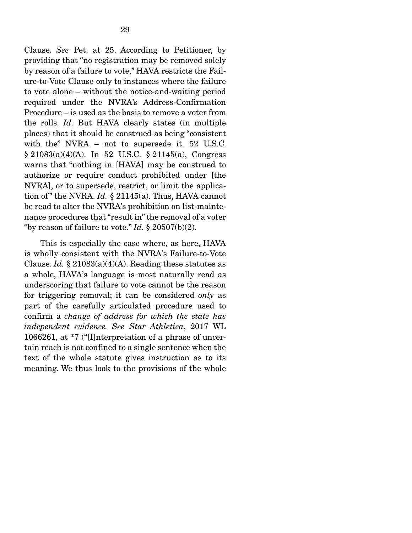Clause. *See* Pet. at 25. According to Petitioner, by providing that "no registration may be removed solely by reason of a failure to vote," HAVA restricts the Failure-to-Vote Clause only to instances where the failure to vote alone – without the notice-and-waiting period required under the NVRA's Address-Confirmation Procedure – is used as the basis to remove a voter from the rolls. *Id.* But HAVA clearly states (in multiple places) that it should be construed as being "consistent with the" NVRA – not to supersede it. 52 U.S.C. § 21083(a)(4)(A). In 52 U.S.C. § 21145(a), Congress warns that "nothing in [HAVA] may be construed to authorize or require conduct prohibited under [the NVRA], or to supersede, restrict, or limit the application of " the NVRA. *Id.* § 21145(a). Thus, HAVA cannot be read to alter the NVRA's prohibition on list-maintenance procedures that "result in" the removal of a voter "by reason of failure to vote."  $Id. \S$  20507(b)(2).

 This is especially the case where, as here, HAVA is wholly consistent with the NVRA's Failure-to-Vote Clause. *Id.* § 21083(a)(4)(A). Reading these statutes as a whole, HAVA's language is most naturally read as underscoring that failure to vote cannot be the reason for triggering removal; it can be considered *only* as part of the carefully articulated procedure used to confirm a *change of address for which the state has independent evidence. See Star Athletica*, 2017 WL 1066261, at \*7 ("[I]nterpretation of a phrase of uncertain reach is not confined to a single sentence when the text of the whole statute gives instruction as to its meaning. We thus look to the provisions of the whole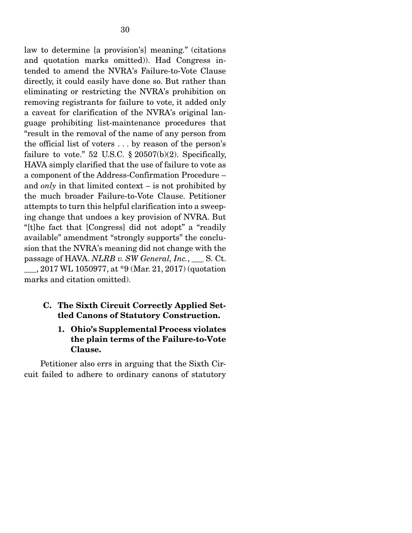law to determine [a provision's] meaning." (citations and quotation marks omitted)). Had Congress intended to amend the NVRA's Failure-to-Vote Clause directly, it could easily have done so. But rather than eliminating or restricting the NVRA's prohibition on removing registrants for failure to vote, it added only a caveat for clarification of the NVRA's original language prohibiting list-maintenance procedures that "result in the removal of the name of any person from the official list of voters . . . by reason of the person's failure to vote." 52 U.S.C.  $\S 20507(b)(2)$ . Specifically, HAVA simply clarified that the use of failure to vote as a component of the Address-Confirmation Procedure – and *only* in that limited context – is not prohibited by the much broader Failure-to-Vote Clause. Petitioner attempts to turn this helpful clarification into a sweeping change that undoes a key provision of NVRA. But "[t]he fact that [Congress] did not adopt" a "readily available" amendment "strongly supports" the conclusion that the NVRA's meaning did not change with the passage of HAVA. *NLRB v. SW General, Inc.*, \_\_\_ S. Ct. \_\_\_, 2017 WL 1050977, at \*9 (Mar. 21, 2017) (quotation marks and citation omitted).

## C. The Sixth Circuit Correctly Applied Settled Canons of Statutory Construction.

## 1. Ohio's Supplemental Process violates the plain terms of the Failure-to-Vote Clause.

 Petitioner also errs in arguing that the Sixth Circuit failed to adhere to ordinary canons of statutory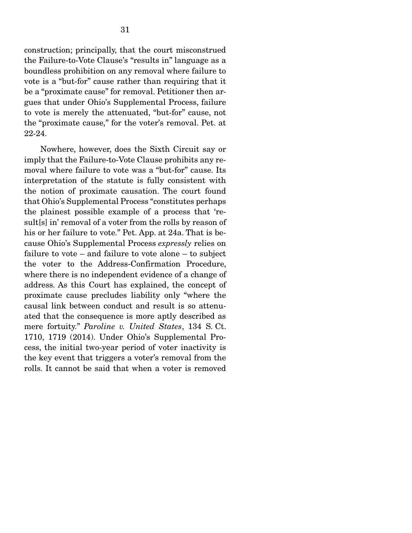construction; principally, that the court misconstrued the Failure-to-Vote Clause's "results in" language as a boundless prohibition on any removal where failure to vote is a "but-for" cause rather than requiring that it be a "proximate cause" for removal. Petitioner then argues that under Ohio's Supplemental Process, failure to vote is merely the attenuated, "but-for" cause, not the "proximate cause," for the voter's removal. Pet. at 22-24.

 Nowhere, however, does the Sixth Circuit say or imply that the Failure-to-Vote Clause prohibits any removal where failure to vote was a "but-for" cause. Its interpretation of the statute is fully consistent with the notion of proximate causation. The court found that Ohio's Supplemental Process "constitutes perhaps the plainest possible example of a process that 'result[s] in' removal of a voter from the rolls by reason of his or her failure to vote." Pet. App. at 24a. That is because Ohio's Supplemental Process *expressly* relies on failure to vote – and failure to vote alone – to subject the voter to the Address-Confirmation Procedure, where there is no independent evidence of a change of address. As this Court has explained, the concept of proximate cause precludes liability only "where the causal link between conduct and result is so attenuated that the consequence is more aptly described as mere fortuity." *Paroline v. United States*, 134 S. Ct. 1710, 1719 (2014). Under Ohio's Supplemental Process, the initial two-year period of voter inactivity is the key event that triggers a voter's removal from the rolls. It cannot be said that when a voter is removed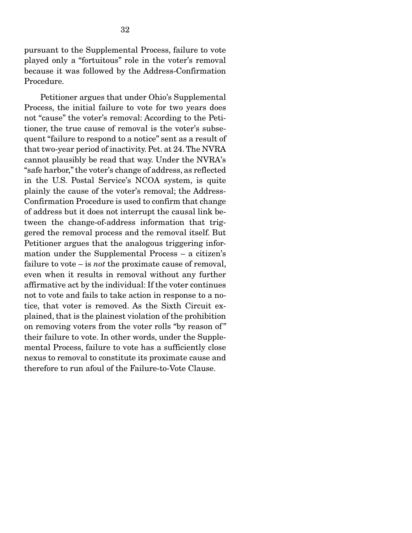pursuant to the Supplemental Process, failure to vote played only a "fortuitous" role in the voter's removal because it was followed by the Address-Confirmation Procedure.

 Petitioner argues that under Ohio's Supplemental Process, the initial failure to vote for two years does not "cause" the voter's removal: According to the Petitioner, the true cause of removal is the voter's subsequent "failure to respond to a notice" sent as a result of that two-year period of inactivity. Pet. at 24. The NVRA cannot plausibly be read that way. Under the NVRA's "safe harbor," the voter's change of address, as reflected in the U.S. Postal Service's NCOA system, is quite plainly the cause of the voter's removal; the Address-Confirmation Procedure is used to confirm that change of address but it does not interrupt the causal link between the change-of-address information that triggered the removal process and the removal itself. But Petitioner argues that the analogous triggering information under the Supplemental Process – a citizen's failure to vote – is *not* the proximate cause of removal, even when it results in removal without any further affirmative act by the individual: If the voter continues not to vote and fails to take action in response to a notice, that voter is removed. As the Sixth Circuit explained, that is the plainest violation of the prohibition on removing voters from the voter rolls "by reason of " their failure to vote. In other words, under the Supplemental Process, failure to vote has a sufficiently close nexus to removal to constitute its proximate cause and therefore to run afoul of the Failure-to-Vote Clause.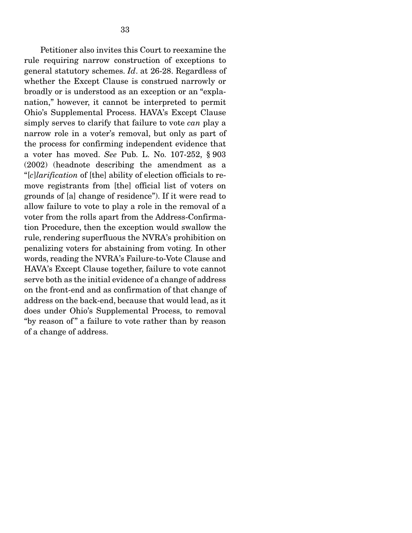Petitioner also invites this Court to reexamine the rule requiring narrow construction of exceptions to general statutory schemes. *Id*. at 26-28. Regardless of whether the Except Clause is construed narrowly or broadly or is understood as an exception or an "explanation," however, it cannot be interpreted to permit Ohio's Supplemental Process. HAVA's Except Clause simply serves to clarify that failure to vote *can* play a narrow role in a voter's removal, but only as part of the process for confirming independent evidence that a voter has moved. *See* Pub. L. No. 107-252, § 903 (2002) (headnote describing the amendment as a "[*c*]*larification* of [the] ability of election officials to remove registrants from [the] official list of voters on grounds of [a] change of residence"). If it were read to allow failure to vote to play a role in the removal of a voter from the rolls apart from the Address-Confirmation Procedure, then the exception would swallow the rule, rendering superfluous the NVRA's prohibition on penalizing voters for abstaining from voting. In other words, reading the NVRA's Failure-to-Vote Clause and HAVA's Except Clause together, failure to vote cannot serve both as the initial evidence of a change of address on the front-end and as confirmation of that change of address on the back-end, because that would lead, as it does under Ohio's Supplemental Process, to removal "by reason of" a failure to vote rather than by reason of a change of address.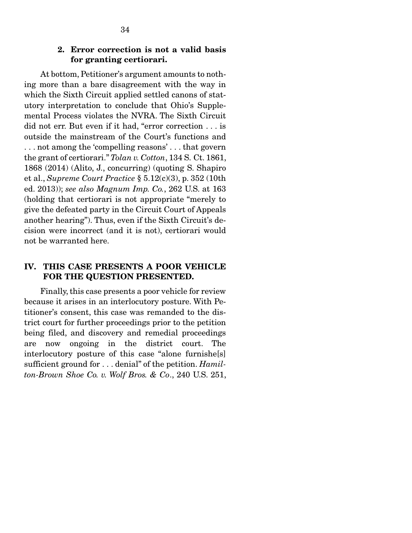### 2. Error correction is not a valid basis for granting certiorari.

 At bottom, Petitioner's argument amounts to nothing more than a bare disagreement with the way in which the Sixth Circuit applied settled canons of statutory interpretation to conclude that Ohio's Supplemental Process violates the NVRA. The Sixth Circuit did not err. But even if it had, "error correction . . . is outside the mainstream of the Court's functions and . . . not among the 'compelling reasons' . . . that govern the grant of certiorari." *Tolan v. Cotton*, 134 S. Ct. 1861, 1868 (2014) (Alito, J., concurring) (quoting S. Shapiro et al., *Supreme Court Practice* § 5.12(c)(3), p. 352 (10th ed. 2013)); *see also Magnum Imp. Co.*, 262 U.S. at 163 (holding that certiorari is not appropriate "merely to give the defeated party in the Circuit Court of Appeals another hearing"). Thus, even if the Sixth Circuit's decision were incorrect (and it is not), certiorari would not be warranted here.

## IV. THIS CASE PRESENTS A POOR VEHICLE FOR THE QUESTION PRESENTED.

 Finally, this case presents a poor vehicle for review because it arises in an interlocutory posture. With Petitioner's consent, this case was remanded to the district court for further proceedings prior to the petition being filed, and discovery and remedial proceedings are now ongoing in the district court. The interlocutory posture of this case "alone furnishe[s] sufficient ground for . . . denial" of the petition. *Hamilton-Brown Shoe Co. v. Wolf Bros. & Co*., 240 U.S. 251,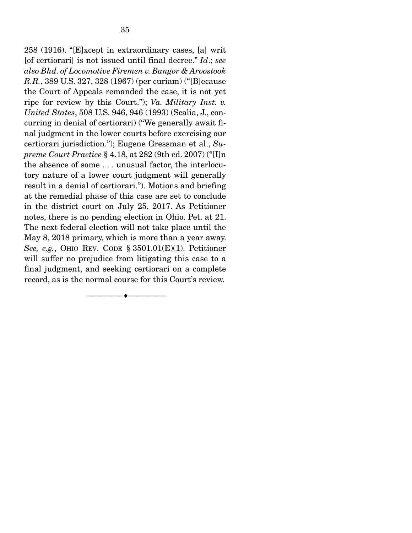258 (1916). "[E]xcept in extraordinary cases, [a] writ [of certiorari] is not issued until final decree." *Id*.; *see also Bhd. of Locomotive Firemen v. Bangor & Aroostook R.R.*, 389 U.S. 327, 328 (1967) (per curiam) ("[B]ecause the Court of Appeals remanded the case, it is not yet ripe for review by this Court."); *Va. Military Inst. v. United States*, 508 U.S. 946, 946 (1993) (Scalia, J., concurring in denial of certiorari) ("We generally await final judgment in the lower courts before exercising our certiorari jurisdiction."); Eugene Gressman et al., *Supreme Court Practice* § 4.18, at 282 (9th ed. 2007) ("[I]n the absence of some . . . unusual factor, the interlocutory nature of a lower court judgment will generally result in a denial of certiorari."). Motions and briefing at the remedial phase of this case are set to conclude in the district court on July 25, 2017. As Petitioner notes, there is no pending election in Ohio. Pet. at 21. The next federal election will not take place until the May 8, 2018 primary, which is more than a year away. *See, e.g.*, OHIO REV. CODE § 3501.01(E)(1). Petitioner will suffer no prejudice from litigating this case to a final judgment, and seeking certiorari on a complete record, as is the normal course for this Court's review.

--------------------------------- ---------------------------------